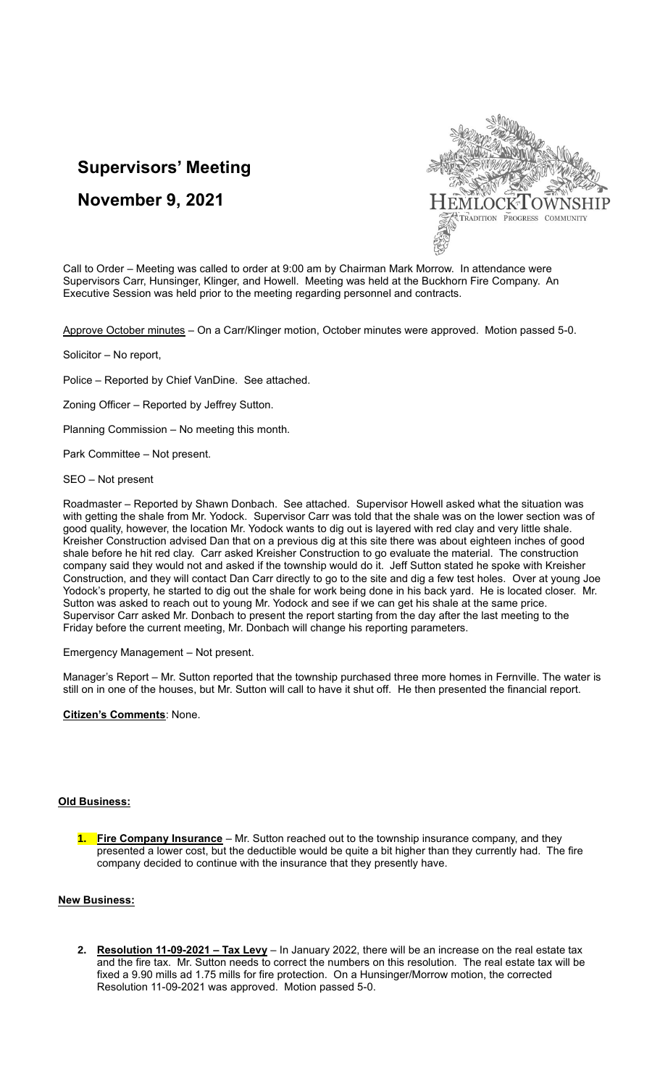## **Supervisors' Meeting**

# **November 9, 2021**



Call to Order – Meeting was called to order at 9:00 am by Chairman Mark Morrow. In attendance were Supervisors Carr, Hunsinger, Klinger, and Howell. Meeting was held at the Buckhorn Fire Company. An Executive Session was held prior to the meeting regarding personnel and contracts.

Approve October minutes – On a Carr/Klinger motion, October minutes were approved. Motion passed 5-0.

Solicitor – No report,

Police – Reported by Chief VanDine. See attached.

Zoning Officer – Reported by Jeffrey Sutton.

Planning Commission – No meeting this month.

Park Committee – Not present.

SEO – Not present

Roadmaster – Reported by Shawn Donbach. See attached. Supervisor Howell asked what the situation was with getting the shale from Mr. Yodock. Supervisor Carr was told that the shale was on the lower section was of good quality, however, the location Mr. Yodock wants to dig out is layered with red clay and very little shale. Kreisher Construction advised Dan that on a previous dig at this site there was about eighteen inches of good shale before he hit red clay. Carr asked Kreisher Construction to go evaluate the material. The construction company said they would not and asked if the township would do it. Jeff Sutton stated he spoke with Kreisher Construction, and they will contact Dan Carr directly to go to the site and dig a few test holes. Over at young Joe Yodock's property, he started to dig out the shale for work being done in his back yard. He is located closer. Mr. Sutton was asked to reach out to young Mr. Yodock and see if we can get his shale at the same price. Supervisor Carr asked Mr. Donbach to present the report starting from the day after the last meeting to the Friday before the current meeting, Mr. Donbach will change his reporting parameters.

Emergency Management – Not present.

Manager's Report – Mr. Sutton reported that the township purchased three more homes in Fernville. The water is still on in one of the houses, but Mr. Sutton will call to have it shut off. He then presented the financial report.

#### **Citizen's Comments**: None.

### **Old Business:**

**1. Fire Company Insurance** – Mr. Sutton reached out to the township insurance company, and they presented a lower cost, but the deductible would be quite a bit higher than they currently had. The fire company decided to continue with the insurance that they presently have.

### **New Business:**

**2. Resolution 11-09-2021 – Tax Levy** – In January 2022, there will be an increase on the real estate tax and the fire tax. Mr. Sutton needs to correct the numbers on this resolution. The real estate tax will be fixed a 9.90 mills ad 1.75 mills for fire protection. On a Hunsinger/Morrow motion, the corrected Resolution 11-09-2021 was approved. Motion passed 5-0.